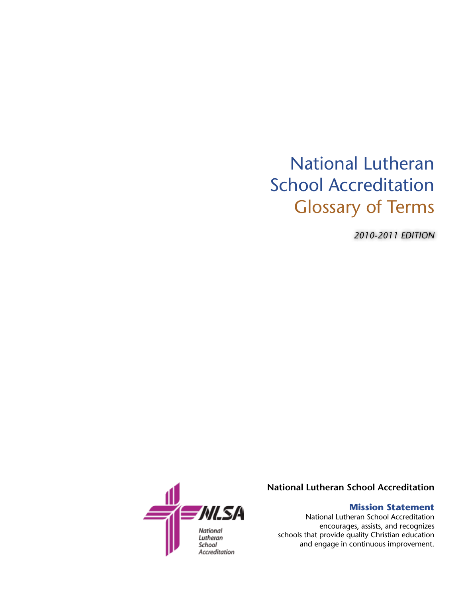## National Lutheran School Accreditation Glossary of Terms

*2010-2011 EDITION*



**National Lutheran School Accreditation**

## **Mission Statement**

National Lutheran School Accreditation encourages, assists, and recognizes schools that provide quality Christian education and engage in continuous improvement.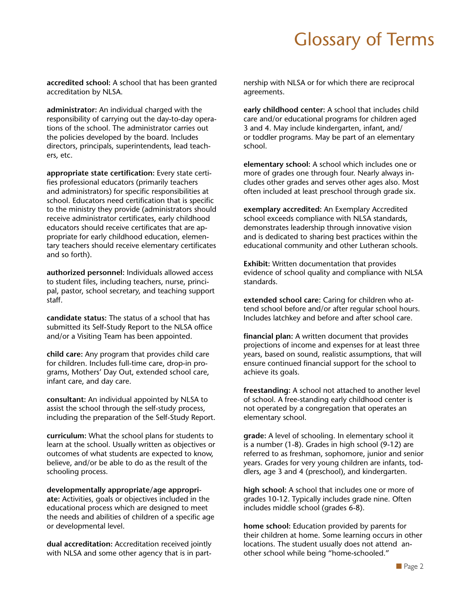## Glossary of Terms

**accredited school:** A school that has been granted accreditation by NLSA.

**administrator:** An individual charged with the responsibility of carrying out the day-to-day operations of the school. The administrator carries out the policies developed by the board. Includes directors, principals, superintendents, lead teachers, etc.

**appropriate state certification:** Every state certifies professional educators (primarily teachers and administrators) for specific responsibilities at school. Educators need certification that is specific to the ministry they provide (administrators should receive administrator certificates, early childhood educators should receive certificates that are appropriate for early childhood education, elementary teachers should receive elementary certificates and so forth).

**authorized personnel:** Individuals allowed access to student files, including teachers, nurse, principal, pastor, school secretary, and teaching support staff.

**candidate status:** The status of a school that has submitted its Self-Study Report to the NLSA office and/or a Visiting Team has been appointed.

**child care:** Any program that provides child care for children. Includes full-time care, drop-in programs, Mothers' Day Out, extended school care, infant care, and day care.

**consultant:** An individual appointed by NLSA to assist the school through the self-study process, including the preparation of the Self-Study Report.

**curriculum:** What the school plans for students to learn at the school. Usually written as objectives or outcomes of what students are expected to know, believe, and/or be able to do as the result of the schooling process.

**developmentally appropriate/age appropriate:** Activities, goals or objectives included in the educational process which are designed to meet the needs and abilities of children of a specific age or developmental level.

**dual accreditation:** Accreditation received jointly with NLSA and some other agency that is in partnership with NLSA or for which there are reciprocal agreements.

**early childhood center:** A school that includes child care and/or educational programs for children aged 3 and 4. May include kindergarten, infant, and/ or toddler programs. May be part of an elementary school.

**elementary school:** A school which includes one or more of grades one through four. Nearly always includes other grades and serves other ages also. Most often included at least preschool through grade six.

**exemplary accredited:** An Exemplary Accredited school exceeds compliance with NLSA standards, demonstrates leadership through innovative vision and is dedicated to sharing best practices within the educational community and other Lutheran schools.

**Exhibit:** Written documentation that provides evidence of school quality and compliance with NLSA standards.

**extended school care:** Caring for children who attend school before and/or after regular school hours. Includes latchkey and before and after school care.

**financial plan:** A written document that provides projections of income and expenses for at least three years, based on sound, realistic assumptions, that will ensure continued financial support for the school to achieve its goals.

**freestanding:** A school not attached to another level of school. A free-standing early childhood center is not operated by a congregation that operates an elementary school.

**grade:** A level of schooling. In elementary school it is a number (1-8). Grades in high school (9-12) are referred to as freshman, sophomore, junior and senior years. Grades for very young children are infants, toddlers, age 3 and 4 (preschool), and kindergarten.

**high school:** A school that includes one or more of grades 10-12. Typically includes grade nine. Often includes middle school (grades 6-8).

**home school:** Education provided by parents for their children at home. Some learning occurs in other locations. The student usually does not attend another school while being "home-schooled."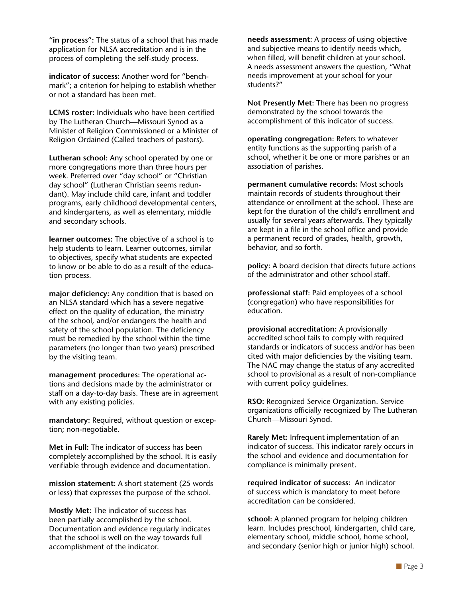**"in process":** The status of a school that has made application for NLSA accreditation and is in the process of completing the self-study process.

**indicator of success:** Another word for "benchmark"; a criterion for helping to establish whether or not a standard has been met.

**LCMS roster:** Individuals who have been certified by The Lutheran Church—Missouri Synod as a Minister of Religion Commissioned or a Minister of Religion Ordained (Called teachers of pastors).

**Lutheran school:** Any school operated by one or more congregations more than three hours per week. Preferred over "day school" or "Christian day school" (Lutheran Christian seems redundant). May include child care, infant and toddler programs, early childhood developmental centers, and kindergartens, as well as elementary, middle and secondary schools.

**learner outcomes:** The objective of a school is to help students to learn. Learner outcomes, similar to objectives, specify what students are expected to know or be able to do as a result of the education process.

**major deficiency:** Any condition that is based on an NLSA standard which has a severe negative effect on the quality of education, the ministry of the school, and/or endangers the health and safety of the school population. The deficiency must be remedied by the school within the time parameters (no longer than two years) prescribed by the visiting team.

**management procedures:** The operational actions and decisions made by the administrator or staff on a day-to-day basis. These are in agreement with any existing policies.

**mandatory:** Required, without question or exception; non-negotiable.

**Met in Full:** The indicator of success has been completely accomplished by the school. It is easily verifiable through evidence and documentation.

**mission statement:** A short statement (25 words or less) that expresses the purpose of the school.

**Mostly Met:** The indicator of success has been partially accomplished by the school. Documentation and evidence regularly indicates that the school is well on the way towards full accomplishment of the indicator.

**needs assessment:** A process of using objective and subjective means to identify needs which, when filled, will benefit children at your school. A needs assessment answers the question, "What needs improvement at your school for your students?"

**Not Presently Met:** There has been no progress demonstrated by the school towards the accomplishment of this indicator of success.

**operating congregation:** Refers to whatever entity functions as the supporting parish of a school, whether it be one or more parishes or an association of parishes.

**permanent cumulative records:** Most schools maintain records of students throughout their attendance or enrollment at the school. These are kept for the duration of the child's enrollment and usually for several years afterwards. They typically are kept in a file in the school office and provide a permanent record of grades, health, growth, behavior, and so forth.

**policy:** A board decision that directs future actions of the administrator and other school staff.

**professional staff:** Paid employees of a school (congregation) who have responsibilities for education.

**provisional accreditation:** A provisionally accredited school fails to comply with required standards or indicators of success and/or has been cited with major deficiencies by the visiting team. The NAC may change the status of any accredited school to provisional as a result of non-compliance with current policy guidelines.

**RSO:** Recognized Service Organization. Service organizations officially recognized by The Lutheran Church—Missouri Synod.

**Rarely Met:** Infrequent implementation of an indicator of success. This indicator rarely occurs in the school and evidence and documentation for compliance is minimally present.

**required indicator of success:** An indicator of success which is mandatory to meet before accreditation can be considered.

**school:** A planned program for helping children learn. Includes preschool, kindergarten, child care, elementary school, middle school, home school, and secondary (senior high or junior high) school.